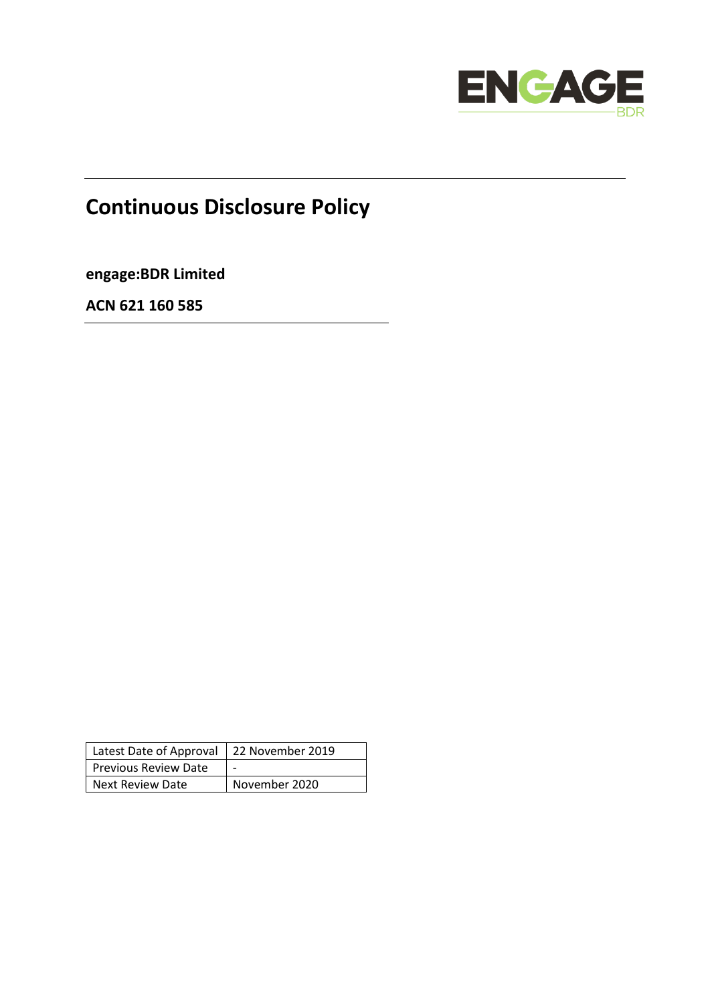

# **Continuous Disclosure Policy**

**engage:BDR Limited**

**ACN 621 160 585**

| Latest Date of Approval   22 November 2019 |               |
|--------------------------------------------|---------------|
| <b>Previous Review Date</b>                |               |
| Next Review Date                           | November 2020 |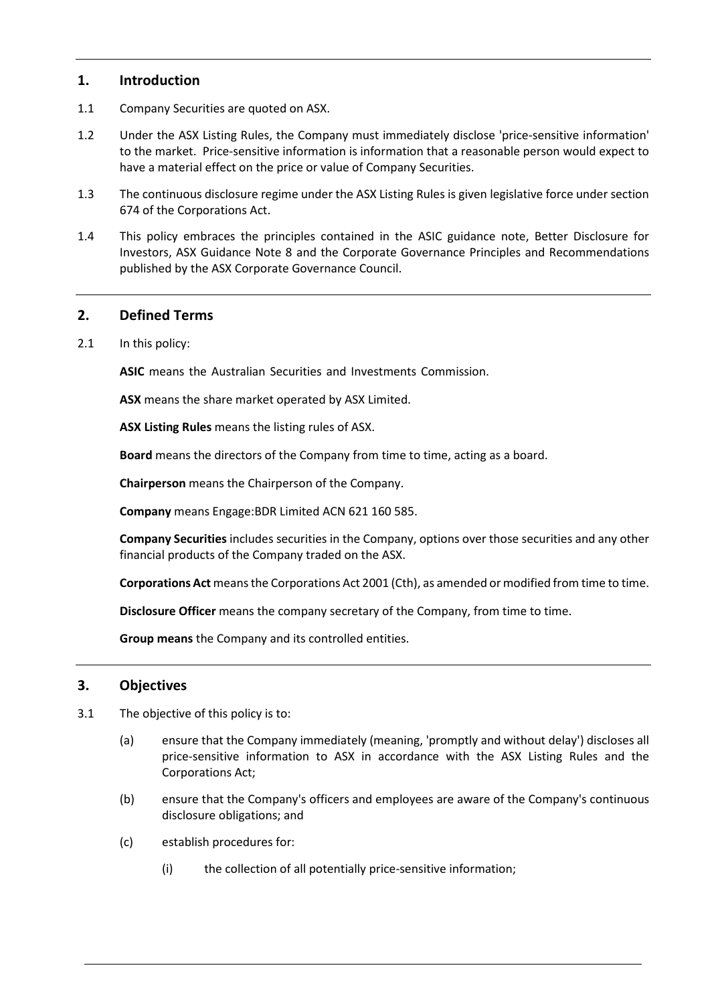## **1. Introduction**

- 1.1 Company Securities are quoted on ASX.
- 1.2 Under the ASX Listing Rules, the Company must immediately disclose 'price-sensitive information' to the market. Price-sensitive information is information that a reasonable person would expect to have a material effect on the price or value of Company Securities.
- 1.3 The continuous disclosure regime under the ASX Listing Rules is given legislative force under section 674 of the Corporations Act.
- 1.4 This policy embraces the principles contained in the ASIC guidance note, Better Disclosure for Investors, ASX Guidance Note 8 and the Corporate Governance Principles and Recommendations published by the ASX Corporate Governance Council.

## **2. Defined Terms**

2.1 In this policy:

**ASIC** means the Australian Securities and Investments Commission.

**ASX** means the share market operated by ASX Limited.

**ASX Listing Rules** means the listing rules of ASX.

**Board** means the directors of the Company from time to time, acting as a board.

**Chairperson** means the Chairperson of the Company.

**Company** means Engage:BDR Limited ACN 621 160 585.

**Company Securities** includes securities in the Company, options over those securities and any other financial products of the Company traded on the ASX.

**Corporations Act** means the Corporations Act 2001 (Cth), as amended or modified from time to time.

**Disclosure Officer** means the company secretary of the Company, from time to time.

**Group means** the Company and its controlled entities.

## **3. Objectives**

- 3.1 The objective of this policy is to:
	- (a) ensure that the Company immediately (meaning, 'promptly and without delay') discloses all price-sensitive information to ASX in accordance with the ASX Listing Rules and the Corporations Act;
	- (b) ensure that the Company's officers and employees are aware of the Company's continuous disclosure obligations; and
	- (c) establish procedures for:
		- (i) the collection of all potentially price-sensitive information;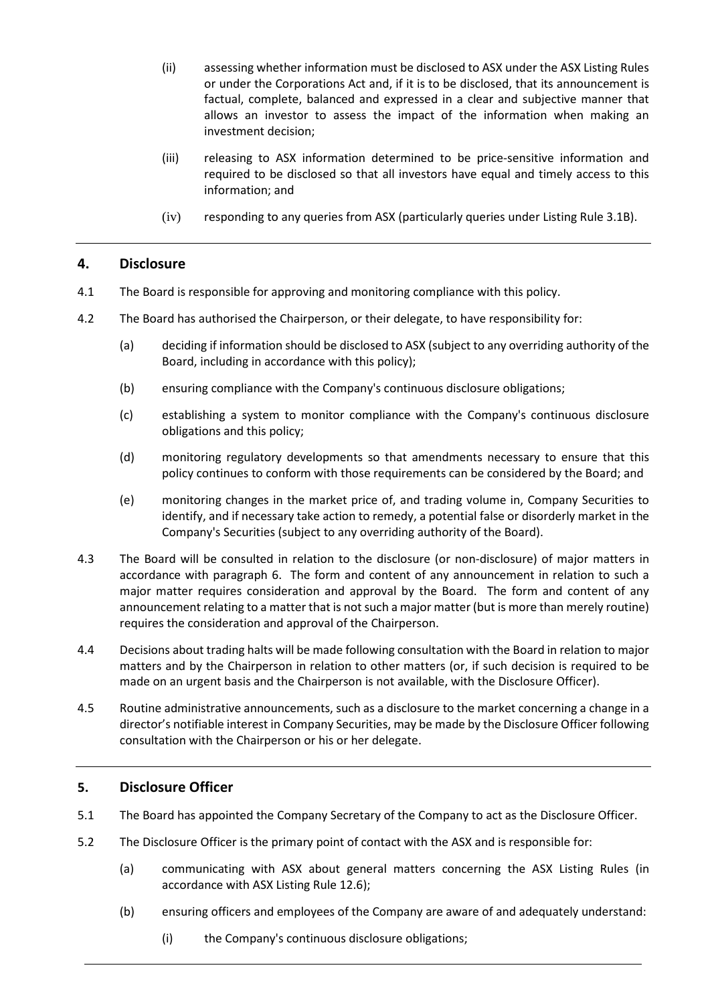- (ii) assessing whether information must be disclosed to ASX under the ASX Listing Rules or under the Corporations Act and, if it is to be disclosed, that its announcement is factual, complete, balanced and expressed in a clear and subjective manner that allows an investor to assess the impact of the information when making an investment decision;
- (iii) releasing to ASX information determined to be price-sensitive information and required to be disclosed so that all investors have equal and timely access to this information; and
- (iv) responding to any queries from ASX (particularly queries under Listing Rule 3.1B).

# **4. Disclosure**

- 4.1 The Board is responsible for approving and monitoring compliance with this policy.
- 4.2 The Board has authorised the Chairperson, or their delegate, to have responsibility for:
	- (a) deciding if information should be disclosed to ASX (subject to any overriding authority of the Board, including in accordance with this policy);
	- (b) ensuring compliance with the Company's continuous disclosure obligations;
	- (c) establishing a system to monitor compliance with the Company's continuous disclosure obligations and this policy;
	- (d) monitoring regulatory developments so that amendments necessary to ensure that this policy continues to conform with those requirements can be considered by the Board; and
	- (e) monitoring changes in the market price of, and trading volume in, Company Securities to identify, and if necessary take action to remedy, a potential false or disorderly market in the Company's Securities (subject to any overriding authority of the Board).
- 4.3 The Board will be consulted in relation to the disclosure (or non-disclosure) of major matters in accordance with paragraph 6. The form and content of any announcement in relation to such a major matter requires consideration and approval by the Board. The form and content of any announcement relating to a matter that is not such a major matter (but is more than merely routine) requires the consideration and approval of the Chairperson.
- 4.4 Decisions about trading halts will be made following consultation with the Board in relation to major matters and by the Chairperson in relation to other matters (or, if such decision is required to be made on an urgent basis and the Chairperson is not available, with the Disclosure Officer).
- 4.5 Routine administrative announcements, such as a disclosure to the market concerning a change in a director's notifiable interest in Company Securities, may be made by the Disclosure Officer following consultation with the Chairperson or his or her delegate.

# **5. Disclosure Officer**

- 5.1 The Board has appointed the Company Secretary of the Company to act as the Disclosure Officer.
- 5.2 The Disclosure Officer is the primary point of contact with the ASX and is responsible for:
	- (a) communicating with ASX about general matters concerning the ASX Listing Rules (in accordance with ASX Listing Rule 12.6);
	- (b) ensuring officers and employees of the Company are aware of and adequately understand:
		- (i) the Company's continuous disclosure obligations;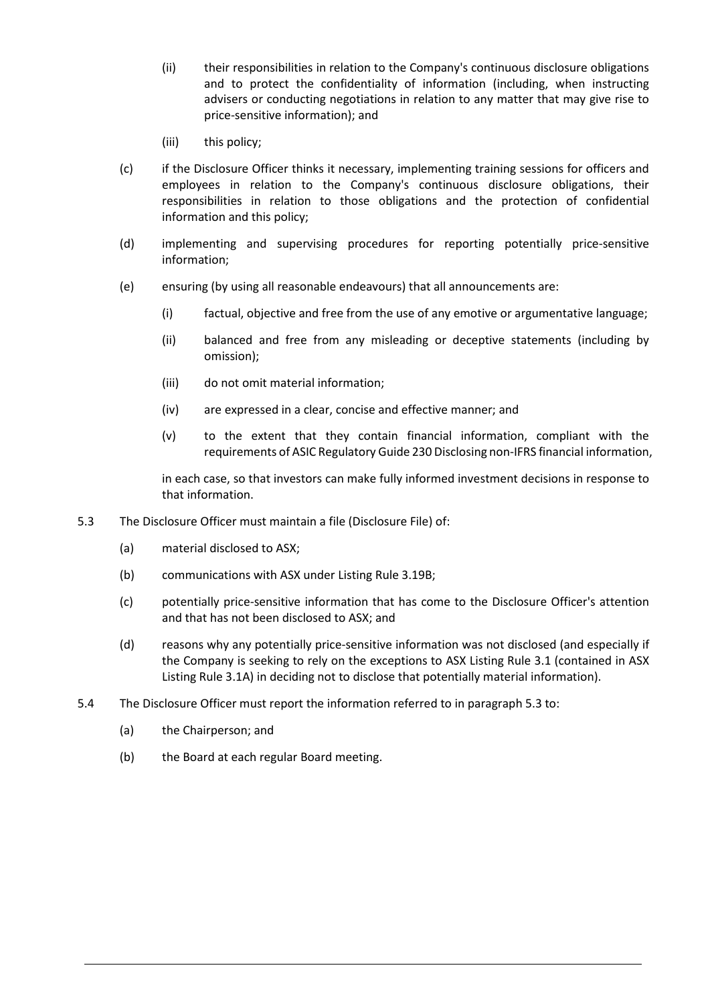- (ii) their responsibilities in relation to the Company's continuous disclosure obligations and to protect the confidentiality of information (including, when instructing advisers or conducting negotiations in relation to any matter that may give rise to price-sensitive information); and
- (iii) this policy;
- (c) if the Disclosure Officer thinks it necessary, implementing training sessions for officers and employees in relation to the Company's continuous disclosure obligations, their responsibilities in relation to those obligations and the protection of confidential information and this policy;
- (d) implementing and supervising procedures for reporting potentially price-sensitive information;
- (e) ensuring (by using all reasonable endeavours) that all announcements are:
	- (i) factual, objective and free from the use of any emotive or argumentative language;
	- (ii) balanced and free from any misleading or deceptive statements (including by omission);
	- (iii) do not omit material information;
	- (iv) are expressed in a clear, concise and effective manner; and
	- (v) to the extent that they contain financial information, compliant with the requirements of ASIC Regulatory Guide 230 Disclosing non-IFRS financial information,

in each case, so that investors can make fully informed investment decisions in response to that information.

- 5.3 The Disclosure Officer must maintain a file (Disclosure File) of:
	- (a) material disclosed to ASX;
	- (b) communications with ASX under Listing Rule 3.19B;
	- (c) potentially price-sensitive information that has come to the Disclosure Officer's attention and that has not been disclosed to ASX; and
	- (d) reasons why any potentially price-sensitive information was not disclosed (and especially if the Company is seeking to rely on the exceptions to ASX Listing Rule 3.1 (contained in ASX Listing Rule 3.1A) in deciding not to disclose that potentially material information).
- 5.4 The Disclosure Officer must report the information referred to in paragraph 5.3 to:
	- (a) the Chairperson; and
	- (b) the Board at each regular Board meeting.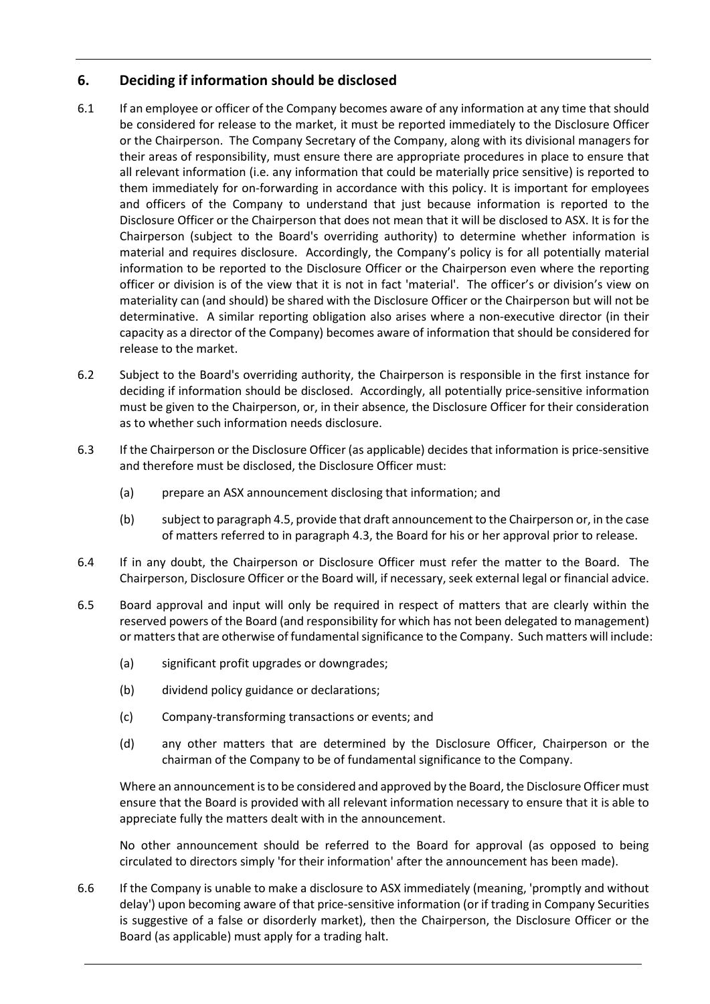# **6. Deciding if information should be disclosed**

- 6.1 If an employee or officer of the Company becomes aware of any information at any time that should be considered for release to the market, it must be reported immediately to the Disclosure Officer or the Chairperson. The Company Secretary of the Company, along with its divisional managers for their areas of responsibility, must ensure there are appropriate procedures in place to ensure that all relevant information (i.e. any information that could be materially price sensitive) is reported to them immediately for on-forwarding in accordance with this policy. It is important for employees and officers of the Company to understand that just because information is reported to the Disclosure Officer or the Chairperson that does not mean that it will be disclosed to ASX. It is for the Chairperson (subject to the Board's overriding authority) to determine whether information is material and requires disclosure. Accordingly, the Company's policy is for all potentially material information to be reported to the Disclosure Officer or the Chairperson even where the reporting officer or division is of the view that it is not in fact 'material'. The officer's or division's view on materiality can (and should) be shared with the Disclosure Officer or the Chairperson but will not be determinative. A similar reporting obligation also arises where a non-executive director (in their capacity as a director of the Company) becomes aware of information that should be considered for release to the market.
- 6.2 Subject to the Board's overriding authority, the Chairperson is responsible in the first instance for deciding if information should be disclosed. Accordingly, all potentially price-sensitive information must be given to the Chairperson, or, in their absence, the Disclosure Officer for their consideration as to whether such information needs disclosure.
- 6.3 If the Chairperson or the Disclosure Officer (as applicable) decides that information is price-sensitive and therefore must be disclosed, the Disclosure Officer must:
	- (a) prepare an ASX announcement disclosing that information; and
	- (b) subject to paragraph 4.5, provide that draft announcement to the Chairperson or, in the case of matters referred to in paragraph 4.3, the Board for his or her approval prior to release.
- 6.4 If in any doubt, the Chairperson or Disclosure Officer must refer the matter to the Board. The Chairperson, Disclosure Officer or the Board will, if necessary, seek external legal or financial advice.
- 6.5 Board approval and input will only be required in respect of matters that are clearly within the reserved powers of the Board (and responsibility for which has not been delegated to management) or matters that are otherwise of fundamental significance to the Company. Such matters will include:
	- (a) significant profit upgrades or downgrades;
	- (b) dividend policy guidance or declarations;
	- (c) Company-transforming transactions or events; and
	- (d) any other matters that are determined by the Disclosure Officer, Chairperson or the chairman of the Company to be of fundamental significance to the Company.

Where an announcement is to be considered and approved by the Board, the Disclosure Officer must ensure that the Board is provided with all relevant information necessary to ensure that it is able to appreciate fully the matters dealt with in the announcement.

No other announcement should be referred to the Board for approval (as opposed to being circulated to directors simply 'for their information' after the announcement has been made).

6.6 If the Company is unable to make a disclosure to ASX immediately (meaning, 'promptly and without delay') upon becoming aware of that price-sensitive information (or if trading in Company Securities is suggestive of a false or disorderly market), then the Chairperson, the Disclosure Officer or the Board (as applicable) must apply for a trading halt.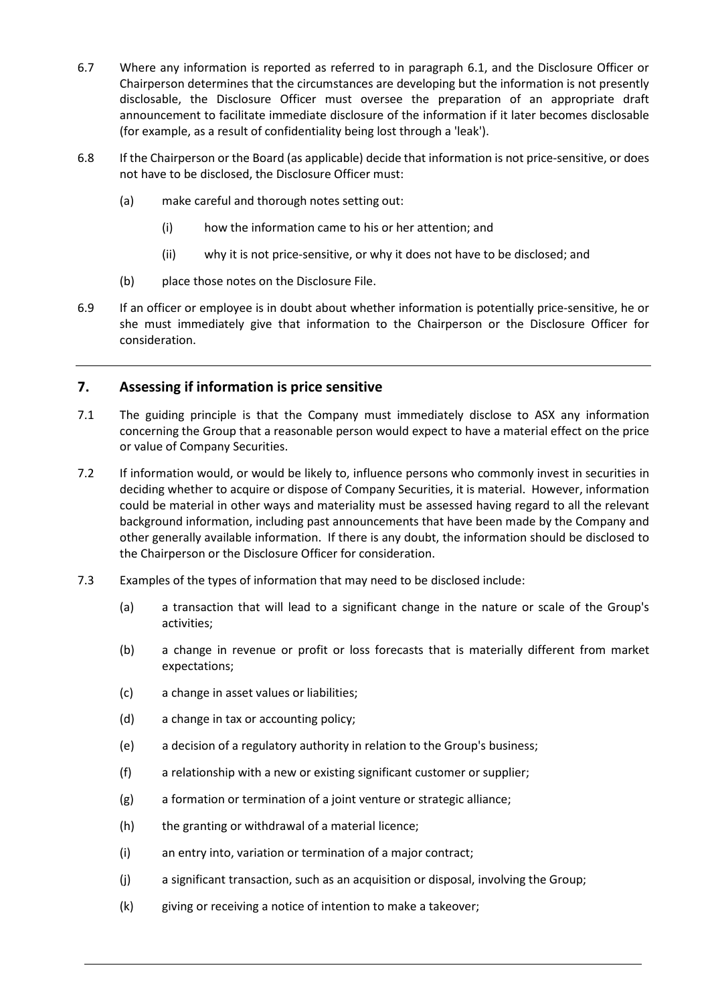- 6.7 Where any information is reported as referred to in paragraph 6.1, and the Disclosure Officer or Chairperson determines that the circumstances are developing but the information is not presently disclosable, the Disclosure Officer must oversee the preparation of an appropriate draft announcement to facilitate immediate disclosure of the information if it later becomes disclosable (for example, as a result of confidentiality being lost through a 'leak').
- 6.8 If the Chairperson or the Board (as applicable) decide that information is not price-sensitive, or does not have to be disclosed, the Disclosure Officer must:
	- (a) make careful and thorough notes setting out:
		- (i) how the information came to his or her attention; and
		- (ii) why it is not price-sensitive, or why it does not have to be disclosed; and
	- (b) place those notes on the Disclosure File.
- 6.9 If an officer or employee is in doubt about whether information is potentially price-sensitive, he or she must immediately give that information to the Chairperson or the Disclosure Officer for consideration.

# **7. Assessing if information is price sensitive**

- 7.1 The guiding principle is that the Company must immediately disclose to ASX any information concerning the Group that a reasonable person would expect to have a material effect on the price or value of Company Securities.
- 7.2 If information would, or would be likely to, influence persons who commonly invest in securities in deciding whether to acquire or dispose of Company Securities, it is material. However, information could be material in other ways and materiality must be assessed having regard to all the relevant background information, including past announcements that have been made by the Company and other generally available information. If there is any doubt, the information should be disclosed to the Chairperson or the Disclosure Officer for consideration.
- 7.3 Examples of the types of information that may need to be disclosed include:
	- (a) a transaction that will lead to a significant change in the nature or scale of the Group's activities;
	- (b) a change in revenue or profit or loss forecasts that is materially different from market expectations;
	- (c) a change in asset values or liabilities;
	- (d) a change in tax or accounting policy;
	- (e) a decision of a regulatory authority in relation to the Group's business;
	- (f) a relationship with a new or existing significant customer or supplier;
	- (g) a formation or termination of a joint venture or strategic alliance;
	- (h) the granting or withdrawal of a material licence;
	- (i) an entry into, variation or termination of a major contract;
	- (j) a significant transaction, such as an acquisition or disposal, involving the Group;
	- (k) giving or receiving a notice of intention to make a takeover;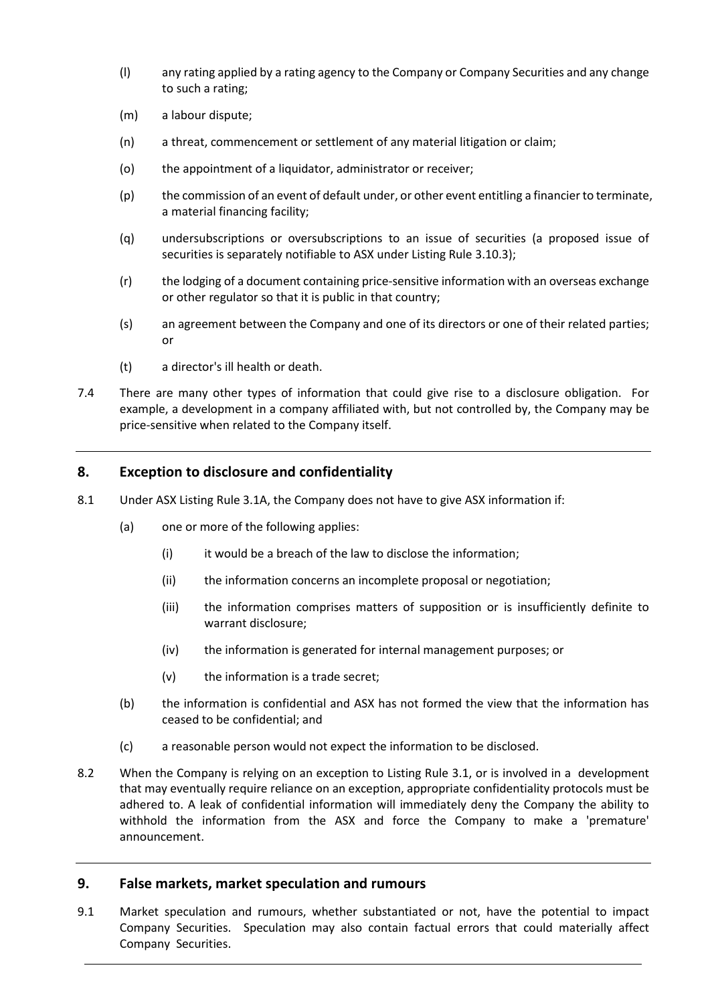- (l) any rating applied by a rating agency to the Company or Company Securities and any change to such a rating;
- (m) a labour dispute;
- (n) a threat, commencement or settlement of any material litigation or claim;
- (o) the appointment of a liquidator, administrator or receiver;
- (p) the commission of an event of default under, or other event entitling a financier to terminate, a material financing facility;
- (q) undersubscriptions or oversubscriptions to an issue of securities (a proposed issue of securities is separately notifiable to ASX under Listing Rule 3.10.3);
- (r) the lodging of a document containing price-sensitive information with an overseas exchange or other regulator so that it is public in that country;
- (s) an agreement between the Company and one of its directors or one of their related parties; or
- (t) a director's ill health or death.
- 7.4 There are many other types of information that could give rise to a disclosure obligation. For example, a development in a company affiliated with, but not controlled by, the Company may be price-sensitive when related to the Company itself.

## **8. Exception to disclosure and confidentiality**

- 8.1 Under ASX Listing Rule 3.1A, the Company does not have to give ASX information if:
	- (a) one or more of the following applies:
		- (i) it would be a breach of the law to disclose the information;
		- (ii) the information concerns an incomplete proposal or negotiation;
		- (iii) the information comprises matters of supposition or is insufficiently definite to warrant disclosure;
		- (iv) the information is generated for internal management purposes; or
		- (v) the information is a trade secret;
	- (b) the information is confidential and ASX has not formed the view that the information has ceased to be confidential; and
	- (c) a reasonable person would not expect the information to be disclosed.
- 8.2 When the Company is relying on an exception to Listing Rule 3.1, or is involved in a development that may eventually require reliance on an exception, appropriate confidentiality protocols must be adhered to. A leak of confidential information will immediately deny the Company the ability to withhold the information from the ASX and force the Company to make a 'premature' announcement.

## **9. False markets, market speculation and rumours**

9.1 Market speculation and rumours, whether substantiated or not, have the potential to impact Company Securities. Speculation may also contain factual errors that could materially affect Company Securities.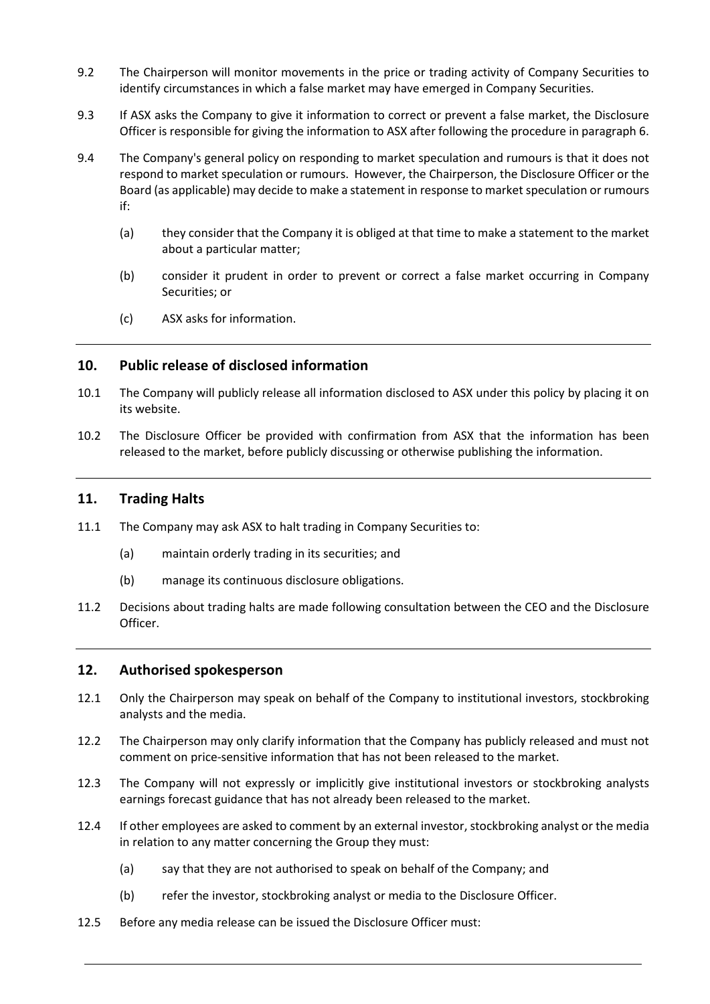- 9.2 The Chairperson will monitor movements in the price or trading activity of Company Securities to identify circumstances in which a false market may have emerged in Company Securities.
- 9.3 If ASX asks the Company to give it information to correct or prevent a false market, the Disclosure Officer is responsible for giving the information to ASX after following the procedure in paragraph 6.
- 9.4 The Company's general policy on responding to market speculation and rumours is that it does not respond to market speculation or rumours. However, the Chairperson, the Disclosure Officer or the Board (as applicable) may decide to make a statement in response to market speculation or rumours if:
	- (a) they consider that the Company it is obliged at that time to make a statement to the market about a particular matter;
	- (b) consider it prudent in order to prevent or correct a false market occurring in Company Securities; or
	- (c) ASX asks for information.

## **10. Public release of disclosed information**

- 10.1 The Company will publicly release all information disclosed to ASX under this policy by placing it on its website.
- 10.2 The Disclosure Officer be provided with confirmation from ASX that the information has been released to the market, before publicly discussing or otherwise publishing the information.

## **11. Trading Halts**

- 11.1 The Company may ask ASX to halt trading in Company Securities to:
	- (a) maintain orderly trading in its securities; and
	- (b) manage its continuous disclosure obligations.
- 11.2 Decisions about trading halts are made following consultation between the CEO and the Disclosure Officer.

#### **12. Authorised spokesperson**

- 12.1 Only the Chairperson may speak on behalf of the Company to institutional investors, stockbroking analysts and the media.
- 12.2 The Chairperson may only clarify information that the Company has publicly released and must not comment on price-sensitive information that has not been released to the market.
- 12.3 The Company will not expressly or implicitly give institutional investors or stockbroking analysts earnings forecast guidance that has not already been released to the market.
- 12.4 If other employees are asked to comment by an external investor, stockbroking analyst or the media in relation to any matter concerning the Group they must:
	- (a) say that they are not authorised to speak on behalf of the Company; and
	- (b) refer the investor, stockbroking analyst or media to the Disclosure Officer.
- 12.5 Before any media release can be issued the Disclosure Officer must: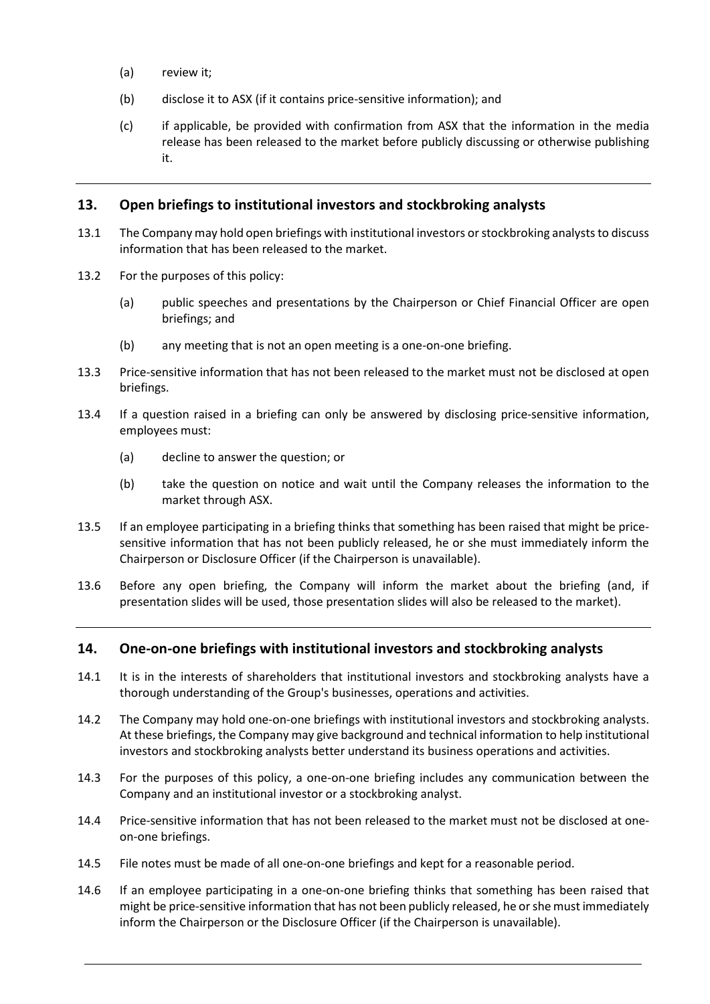- (a) review it;
- (b) disclose it to ASX (if it contains price-sensitive information); and
- (c) if applicable, be provided with confirmation from ASX that the information in the media release has been released to the market before publicly discussing or otherwise publishing it.

## **13. Open briefings to institutional investors and stockbroking analysts**

- 13.1 The Company may hold open briefings with institutional investors or stockbroking analysts to discuss information that has been released to the market.
- 13.2 For the purposes of this policy:
	- (a) public speeches and presentations by the Chairperson or Chief Financial Officer are open briefings; and
	- (b) any meeting that is not an open meeting is a one-on-one briefing.
- 13.3 Price-sensitive information that has not been released to the market must not be disclosed at open briefings.
- 13.4 If a question raised in a briefing can only be answered by disclosing price-sensitive information, employees must:
	- (a) decline to answer the question; or
	- (b) take the question on notice and wait until the Company releases the information to the market through ASX.
- 13.5 If an employee participating in a briefing thinks that something has been raised that might be pricesensitive information that has not been publicly released, he or she must immediately inform the Chairperson or Disclosure Officer (if the Chairperson is unavailable).
- 13.6 Before any open briefing, the Company will inform the market about the briefing (and, if presentation slides will be used, those presentation slides will also be released to the market).

## **14. One-on-one briefings with institutional investors and stockbroking analysts**

- 14.1 It is in the interests of shareholders that institutional investors and stockbroking analysts have a thorough understanding of the Group's businesses, operations and activities.
- 14.2 The Company may hold one-on-one briefings with institutional investors and stockbroking analysts. At these briefings, the Company may give background and technical information to help institutional investors and stockbroking analysts better understand its business operations and activities.
- 14.3 For the purposes of this policy, a one-on-one briefing includes any communication between the Company and an institutional investor or a stockbroking analyst.
- 14.4 Price-sensitive information that has not been released to the market must not be disclosed at oneon-one briefings.
- 14.5 File notes must be made of all one-on-one briefings and kept for a reasonable period.
- 14.6 If an employee participating in a one-on-one briefing thinks that something has been raised that might be price-sensitive information that has not been publicly released, he or she must immediately inform the Chairperson or the Disclosure Officer (if the Chairperson is unavailable).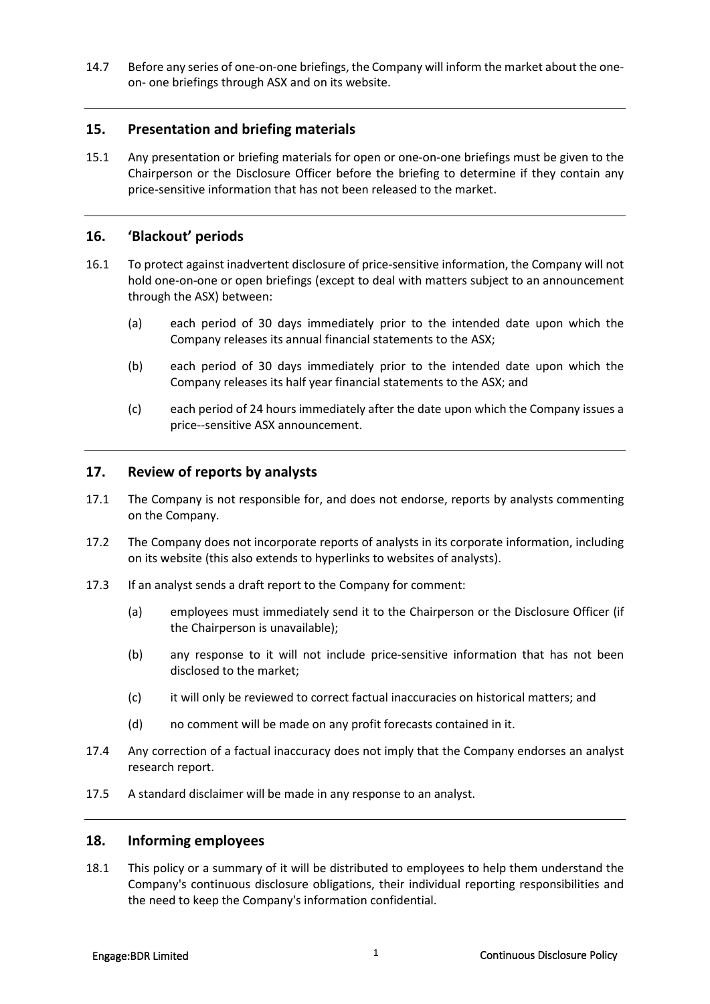14.7 Before any series of one-on-one briefings, the Company will inform the market about the oneon- one briefings through ASX and on its website.

## **15. Presentation and briefing materials**

15.1 Any presentation or briefing materials for open or one-on-one briefings must be given to the Chairperson or the Disclosure Officer before the briefing to determine if they contain any price-sensitive information that has not been released to the market.

#### **16. 'Blackout' periods**

- 16.1 To protect against inadvertent disclosure of price-sensitive information, the Company will not hold one-on-one or open briefings (except to deal with matters subject to an announcement through the ASX) between:
	- (a) each period of 30 days immediately prior to the intended date upon which the Company releases its annual financial statements to the ASX;
	- (b) each period of 30 days immediately prior to the intended date upon which the Company releases its half year financial statements to the ASX; and
	- (c) each period of 24 hours immediately after the date upon which the Company issues a price--sensitive ASX announcement.

## **17. Review of reports by analysts**

- 17.1 The Company is not responsible for, and does not endorse, reports by analysts commenting on the Company.
- 17.2 The Company does not incorporate reports of analysts in its corporate information, including on its website (this also extends to hyperlinks to websites of analysts).
- 17.3 If an analyst sends a draft report to the Company for comment:
	- (a) employees must immediately send it to the Chairperson or the Disclosure Officer (if the Chairperson is unavailable);
	- (b) any response to it will not include price-sensitive information that has not been disclosed to the market;
	- (c) it will only be reviewed to correct factual inaccuracies on historical matters; and
	- (d) no comment will be made on any profit forecasts contained in it.
- 17.4 Any correction of a factual inaccuracy does not imply that the Company endorses an analyst research report.
- 17.5 A standard disclaimer will be made in any response to an analyst.

#### **18. Informing employees**

18.1 This policy or a summary of it will be distributed to employees to help them understand the Company's continuous disclosure obligations, their individual reporting responsibilities and the need to keep the Company's information confidential.